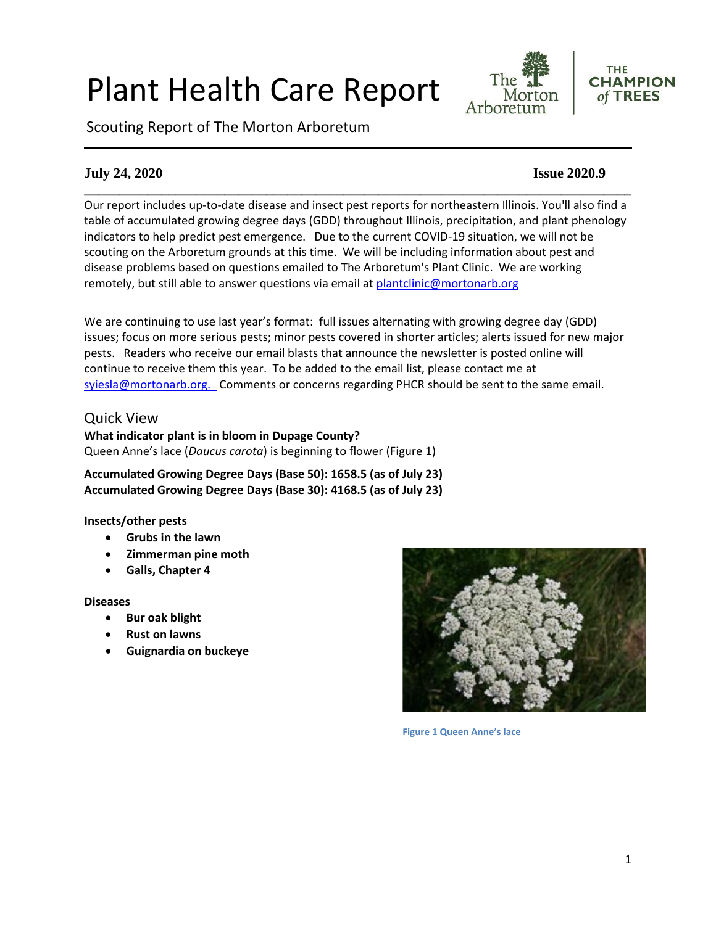# Plant Health Care Report

Scouting Report of The Morton Arboretum





# **July 24, 2020 Issue 2020.9**

**\_\_\_\_\_\_\_\_\_\_\_\_\_\_\_\_\_\_\_\_\_\_\_\_\_\_\_\_\_\_\_\_\_\_\_\_\_\_\_\_\_\_\_\_\_\_\_\_\_\_\_\_\_\_\_\_\_\_\_\_\_\_\_\_\_\_\_\_\_\_\_\_\_\_\_\_\_\_** Our report includes up-to-date disease and insect pest reports for northeastern Illinois. You'll also find a table of accumulated growing degree days (GDD) throughout Illinois, precipitation, and plant phenology indicators to help predict pest emergence. Due to the current COVID-19 situation, we will not be scouting on the Arboretum grounds at this time. We will be including information about pest and disease problems based on questions emailed to The Arboretum's Plant Clinic. We are working remotely, but still able to answer questions via email at [plantclinic@mortonarb.org](mailto:plantclinic@mortonarb.org)

We are continuing to use last year's format: full issues alternating with growing degree day (GDD) issues; focus on more serious pests; minor pests covered in shorter articles; alerts issued for new major pests. Readers who receive our email blasts that announce the newsletter is posted online will continue to receive them this year. To be added to the email list, please contact me at [syiesla@mortonarb.org.](mailto:syiesla@mortonarb.org) Comments or concerns regarding PHCR should be sent to the same email.

## Quick View

**What indicator plant is in bloom in Dupage County?** Queen Anne's lace (*Daucus carota*) is beginning to flower (Figure 1)

**Accumulated Growing Degree Days (Base 50): 1658.5 (as of July 23) Accumulated Growing Degree Days (Base 30): 4168.5 (as of July 23)**

#### **Insects/other pests**

- **Grubs in the lawn**
- **Zimmerman pine moth**
- **Galls, Chapter 4**

#### **Diseases**

- **Bur oak blight**
- **Rust on lawns**
- **Guignardia on buckeye**



**Figure 1 Queen Anne's lace**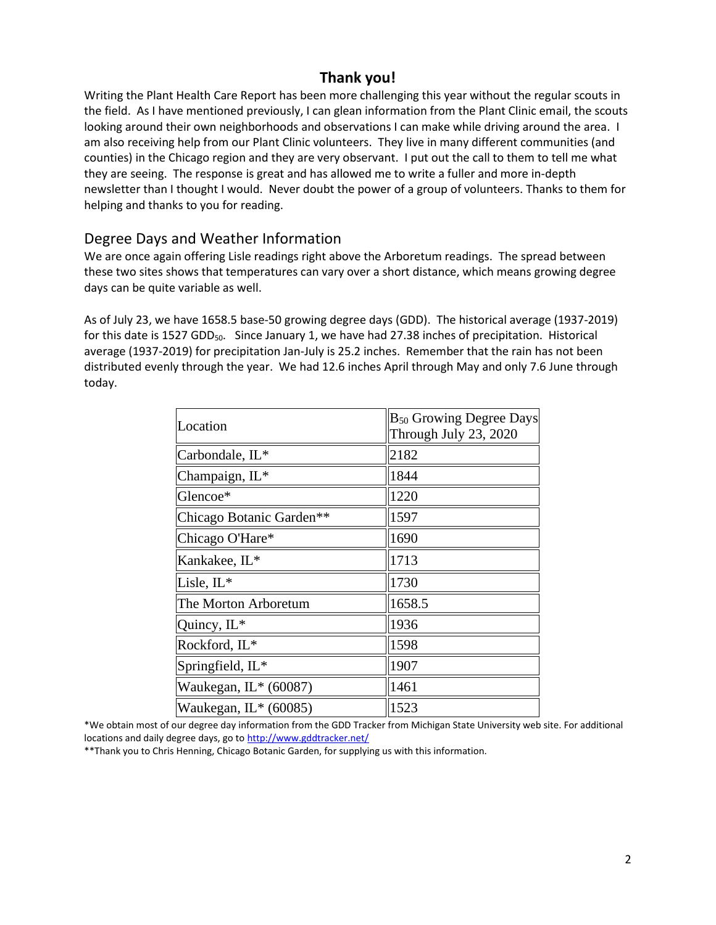# **Thank you!**

Writing the Plant Health Care Report has been more challenging this year without the regular scouts in the field. As I have mentioned previously, I can glean information from the Plant Clinic email, the scouts looking around their own neighborhoods and observations I can make while driving around the area. I am also receiving help from our Plant Clinic volunteers. They live in many different communities (and counties) in the Chicago region and they are very observant. I put out the call to them to tell me what they are seeing. The response is great and has allowed me to write a fuller and more in-depth newsletter than I thought I would. Never doubt the power of a group of volunteers. Thanks to them for helping and thanks to you for reading.

## Degree Days and Weather Information

We are once again offering Lisle readings right above the Arboretum readings. The spread between these two sites shows that temperatures can vary over a short distance, which means growing degree days can be quite variable as well.

As of July 23, we have 1658.5 base-50 growing degree days (GDD). The historical average (1937-2019) for this date is 1527 GDD<sub>50</sub>. Since January 1, we have had 27.38 inches of precipitation. Historical average (1937-2019) for precipitation Jan-July is 25.2 inches. Remember that the rain has not been distributed evenly through the year. We had 12.6 inches April through May and only 7.6 June through today.

| Location                 | $B_{50}$ Growing Degree Days<br>Through July 23, 2020 |
|--------------------------|-------------------------------------------------------|
| Carbondale, IL*          | 2182                                                  |
| Champaign, IL*           | 1844                                                  |
| Glencoe*                 | 1220                                                  |
| Chicago Botanic Garden** | 1597                                                  |
| Chicago O'Hare*          | 1690                                                  |
| Kankakee, IL*            | 1713                                                  |
| Lisle, $IL^*$            | 1730                                                  |
| The Morton Arboretum     | 1658.5                                                |
| Quincy, $IL^*$           | 1936                                                  |
| Rockford, IL*            | 1598                                                  |
| Springfield, IL*         | 1907                                                  |
| Waukegan, $IL*$ (60087)  | 1461                                                  |
| Waukegan, IL* (60085)    | 1523                                                  |

\*We obtain most of our degree day information from the GDD Tracker from Michigan State University web site. For additional locations and daily degree days, go t[o http://www.gddtracker.net/](http://www.gddtracker.net/)

\*\*Thank you to Chris Henning, Chicago Botanic Garden, for supplying us with this information.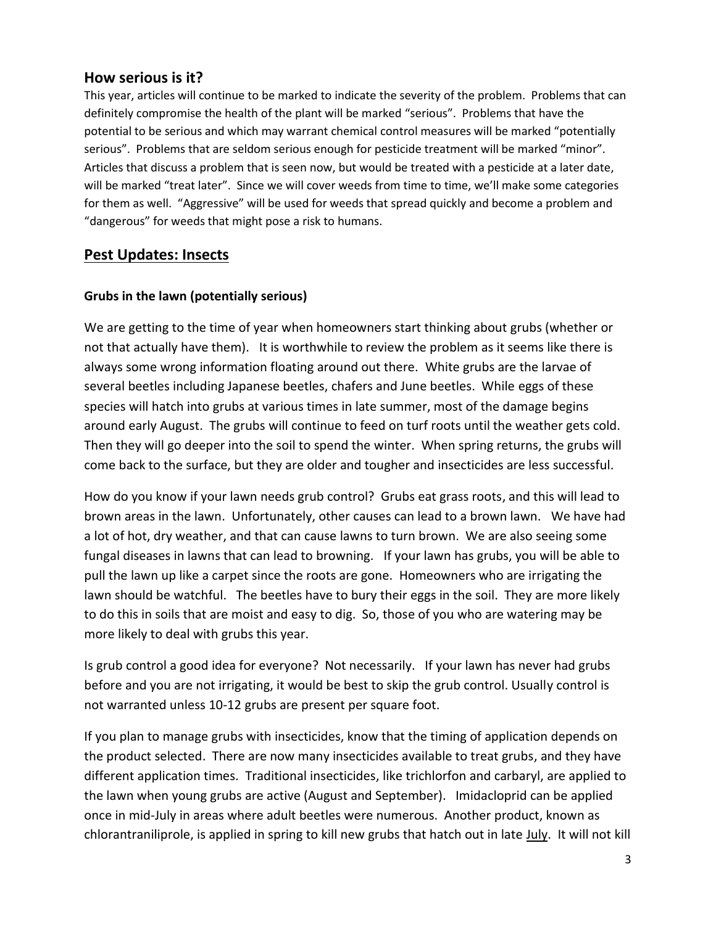# **How serious is it?**

This year, articles will continue to be marked to indicate the severity of the problem. Problems that can definitely compromise the health of the plant will be marked "serious".Problems that have the potential to be serious and which may warrant chemical control measures will be marked "potentially serious". Problems that are seldom serious enough for pesticide treatment will be marked "minor". Articles that discuss a problem that is seen now, but would be treated with a pesticide at a later date, will be marked "treat later". Since we will cover weeds from time to time, we'll make some categories for them as well. "Aggressive" will be used for weeds that spread quickly and become a problem and "dangerous" for weeds that might pose a risk to humans.

# **Pest Updates: Insects**

## **Grubs in the lawn (potentially serious)**

We are getting to the time of year when homeowners start thinking about grubs (whether or not that actually have them). It is worthwhile to review the problem as it seems like there is always some wrong information floating around out there. White grubs are the larvae of several beetles including Japanese beetles, chafers and June beetles. While eggs of these species will hatch into grubs at various times in late summer, most of the damage begins around early August. The grubs will continue to feed on turf roots until the weather gets cold. Then they will go deeper into the soil to spend the winter. When spring returns, the grubs will come back to the surface, but they are older and tougher and insecticides are less successful.

How do you know if your lawn needs grub control? Grubs eat grass roots, and this will lead to brown areas in the lawn. Unfortunately, other causes can lead to a brown lawn. We have had a lot of hot, dry weather, and that can cause lawns to turn brown. We are also seeing some fungal diseases in lawns that can lead to browning. If your lawn has grubs, you will be able to pull the lawn up like a carpet since the roots are gone. Homeowners who are irrigating the lawn should be watchful. The beetles have to bury their eggs in the soil. They are more likely to do this in soils that are moist and easy to dig. So, those of you who are watering may be more likely to deal with grubs this year.

Is grub control a good idea for everyone? Not necessarily. If your lawn has never had grubs before and you are not irrigating, it would be best to skip the grub control. Usually control is not warranted unless 10-12 grubs are present per square foot.

If you plan to manage grubs with insecticides, know that the timing of application depends on the product selected. There are now many insecticides available to treat grubs, and they have different application times. Traditional insecticides, like trichlorfon and carbaryl, are applied to the lawn when young grubs are active (August and September). Imidacloprid can be applied once in mid-July in areas where adult beetles were numerous. Another product, known as chlorantraniliprole, is applied in spring to kill new grubs that hatch out in late July. It will not kill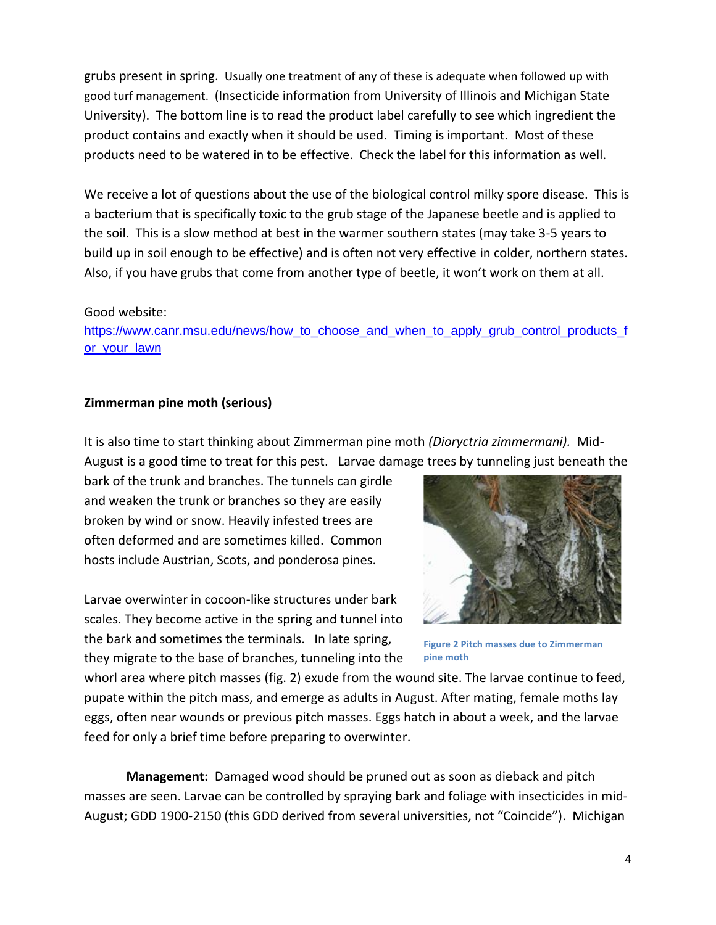grubs present in spring. Usually one treatment of any of these is adequate when followed up with good turf management. (Insecticide information from University of Illinois and Michigan State University). The bottom line is to read the product label carefully to see which ingredient the product contains and exactly when it should be used. Timing is important. Most of these products need to be watered in to be effective. Check the label for this information as well.

We receive a lot of questions about the use of the biological control milky spore disease. This is a bacterium that is specifically toxic to the grub stage of the Japanese beetle and is applied to the soil. This is a slow method at best in the warmer southern states (may take 3-5 years to build up in soil enough to be effective) and is often not very effective in colder, northern states. Also, if you have grubs that come from another type of beetle, it won't work on them at all.

#### Good website:

[https://www.canr.msu.edu/news/how\\_to\\_choose\\_and\\_when\\_to\\_apply\\_grub\\_control\\_products\\_f](https://www.canr.msu.edu/news/how_to_choose_and_when_to_apply_grub_control_products_for_your_lawn) or your lawn

#### **Zimmerman pine moth (serious)**

It is also time to start thinking about Zimmerman pine moth *(Dioryctria zimmermani).* Mid-August is a good time to treat for this pest. Larvae damage trees by tunneling just beneath the

bark of the trunk and branches. The tunnels can girdle and weaken the trunk or branches so they are easily broken by wind or snow. Heavily infested trees are often deformed and are sometimes killed. Common hosts include Austrian, Scots, and ponderosa pines.

Larvae overwinter in cocoon-like structures under bark scales. They become active in the spring and tunnel into the bark and sometimes the terminals. In late spring, they migrate to the base of branches, tunneling into the



**Figure 2 Pitch masses due to Zimmerman pine moth**

whorl area where pitch masses (fig. 2) exude from the wound site. The larvae continue to feed, pupate within the pitch mass, and emerge as adults in August. After mating, female moths lay eggs, often near wounds or previous pitch masses. Eggs hatch in about a week, and the larvae feed for only a brief time before preparing to overwinter.

**Management:** Damaged wood should be pruned out as soon as dieback and pitch masses are seen. Larvae can be controlled by spraying bark and foliage with insecticides in mid-August; GDD 1900-2150 (this GDD derived from several universities, not "Coincide"). Michigan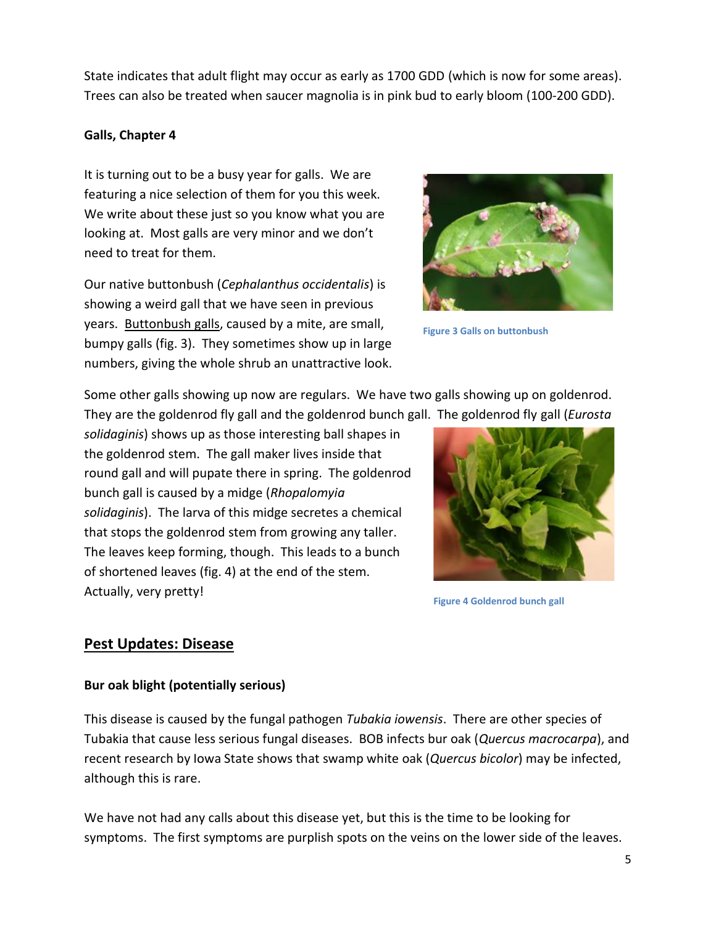State indicates that adult flight may occur as early as 1700 GDD (which is now for some areas). Trees can also be treated when saucer magnolia is in pink bud to early bloom (100-200 GDD).

#### **Galls, Chapter 4**

It is turning out to be a busy year for galls. We are featuring a nice selection of them for you this week. We write about these just so you know what you are looking at. Most galls are very minor and we don't need to treat for them.

Our native buttonbush (*Cephalanthus occidentalis*) is showing a weird gall that we have seen in previous years. Buttonbush galls, caused by a mite, are small, bumpy galls (fig. 3). They sometimes show up in large numbers, giving the whole shrub an unattractive look.



**Figure 3 Galls on buttonbush**

Some other galls showing up now are regulars. We have two galls showing up on goldenrod. They are the goldenrod fly gall and the goldenrod bunch gall. The goldenrod fly gall (*Eurosta* 

*solidaginis*) shows up as those interesting ball shapes in the goldenrod stem. The gall maker lives inside that round gall and will pupate there in spring. The goldenrod bunch gall is caused by a midge (*Rhopalomyia solidaginis*). The larva of this midge secretes a chemical that stops the goldenrod stem from growing any taller. The leaves keep forming, though. This leads to a bunch of shortened leaves (fig. 4) at the end of the stem. Actually, very pretty!



**Figure 4 Goldenrod bunch gall**

# **Pest Updates: Disease**

#### **Bur oak blight (potentially serious)**

This disease is caused by the fungal pathogen *Tubakia iowensis*. There are other species of Tubakia that cause less serious fungal diseases. BOB infects bur oak (*Quercus macrocarpa*), and recent research by Iowa State shows that swamp white oak (*Quercus bicolor*) may be infected, although this is rare.

We have not had any calls about this disease yet, but this is the time to be looking for symptoms. The first symptoms are purplish spots on the veins on the lower side of the leaves.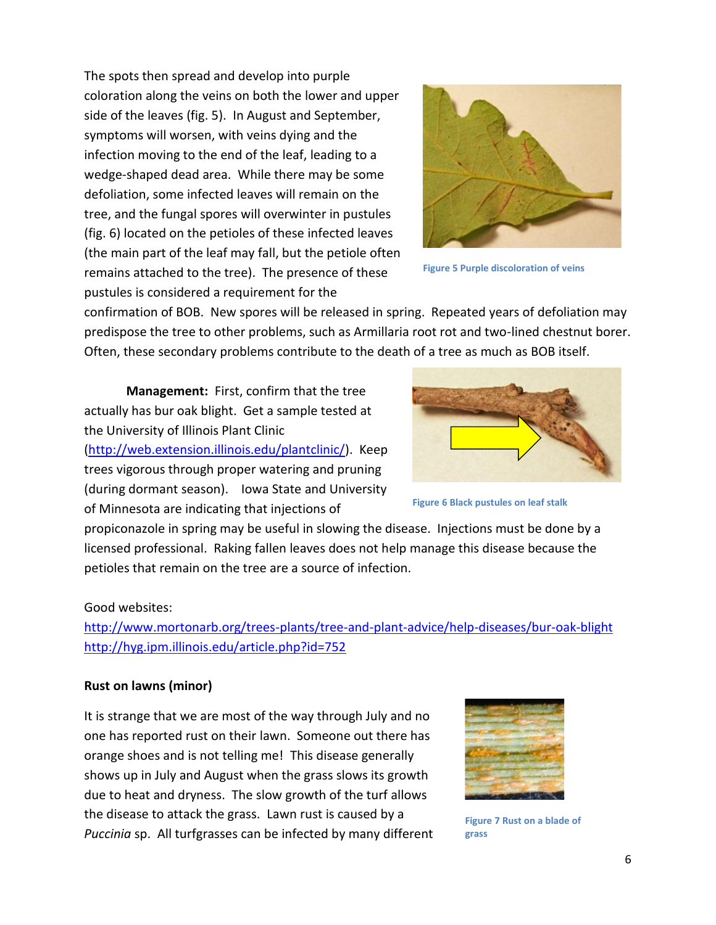The spots then spread and develop into purple coloration along the veins on both the lower and upper side of the leaves (fig. 5). In August and September, symptoms will worsen, with veins dying and the infection moving to the end of the leaf, leading to a wedge-shaped dead area. While there may be some defoliation, some infected leaves will remain on the tree, and the fungal spores will overwinter in pustules (fig. 6) located on the petioles of these infected leaves (the main part of the leaf may fall, but the petiole often remains attached to the tree). The presence of these pustules is considered a requirement for the



**Figure 5 Purple discoloration of veins**

confirmation of BOB. New spores will be released in spring. Repeated years of defoliation may predispose the tree to other problems, such as Armillaria root rot and two-lined chestnut borer. Often, these secondary problems contribute to the death of a tree as much as BOB itself.

**Management:** First, confirm that the tree actually has bur oak blight. Get a sample tested at the University of Illinois Plant Clinic [\(http://web.extension.illinois.edu/plantclinic/\)](http://web.extension.illinois.edu/plantclinic/). Keep trees vigorous through proper watering and pruning (during dormant season). Iowa State and University of Minnesota are indicating that injections of



**Figure 6 Black pustules on leaf stalk**

propiconazole in spring may be useful in slowing the disease. Injections must be done by a licensed professional. Raking fallen leaves does not help manage this disease because the petioles that remain on the tree are a source of infection.

#### Good websites:

<http://www.mortonarb.org/trees-plants/tree-and-plant-advice/help-diseases/bur-oak-blight> <http://hyg.ipm.illinois.edu/article.php?id=752>

#### **Rust on lawns (minor)**

It is strange that we are most of the way through July and no one has reported rust on their lawn. Someone out there has orange shoes and is not telling me! This disease generally shows up in July and August when the grass slows its growth due to heat and dryness. The slow growth of the turf allows the disease to attack the grass. Lawn rust is caused by a *Puccinia* sp. All turfgrasses can be infected by many different



**Figure 7 Rust on a blade of grass**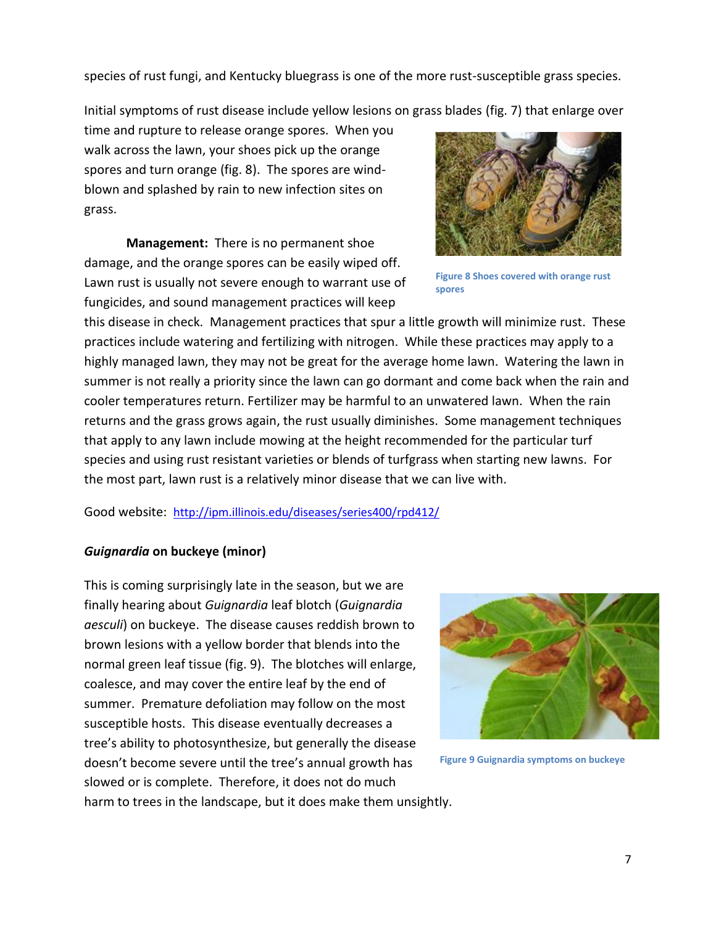species of rust fungi, and Kentucky bluegrass is one of the more rust-susceptible grass species.

Initial symptoms of rust disease include yellow lesions on grass blades (fig. 7) that enlarge over

time and rupture to release orange spores. When you walk across the lawn, your shoes pick up the orange spores and turn orange (fig. 8). The spores are windblown and splashed by rain to new infection sites on grass.

**Management:** There is no permanent shoe damage, and the orange spores can be easily wiped off. Lawn rust is usually not severe enough to warrant use of fungicides, and sound management practices will keep



**Figure 8 Shoes covered with orange rust spores**

this disease in check. Management practices that spur a little growth will minimize rust. These practices include watering and fertilizing with nitrogen. While these practices may apply to a highly managed lawn, they may not be great for the average home lawn. Watering the lawn in summer is not really a priority since the lawn can go dormant and come back when the rain and cooler temperatures return. Fertilizer may be harmful to an unwatered lawn. When the rain returns and the grass grows again, the rust usually diminishes. Some management techniques that apply to any lawn include mowing at the height recommended for the particular turf species and using rust resistant varieties or blends of turfgrass when starting new lawns. For the most part, lawn rust is a relatively minor disease that we can live with.

Good website: <http://ipm.illinois.edu/diseases/series400/rpd412/>

## *Guignardia* **on buckeye (minor)**

This is coming surprisingly late in the season, but we are finally hearing about *Guignardia* leaf blotch (*Guignardia aesculi*) on buckeye. The disease causes reddish brown to brown lesions with a yellow border that blends into the normal green leaf tissue (fig. 9). The blotches will enlarge, coalesce, and may cover the entire leaf by the end of summer. Premature defoliation may follow on the most susceptible hosts. This disease eventually decreases a tree's ability to photosynthesize, but generally the disease doesn't become severe until the tree's annual growth has slowed or is complete. Therefore, it does not do much harm to trees in the landscape, but it does make them unsightly.



**Figure 9 Guignardia symptoms on buckeye**